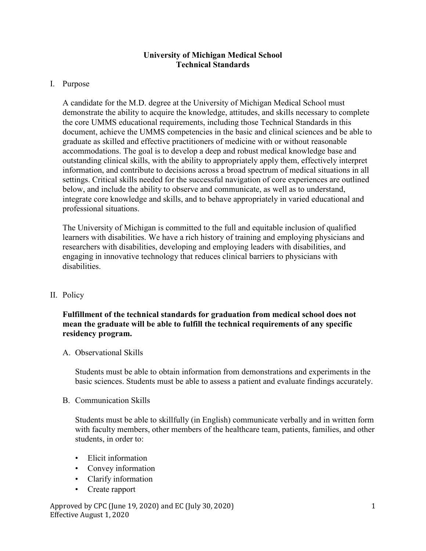## **University of Michigan Medical School Technical Standards**

### I. Purpose

A candidate for the M.D. degree at the University of Michigan Medical School must demonstrate the ability to acquire the knowledge, attitudes, and skills necessary to complete the core UMMS educational requirements, including those Technical Standards in this document, achieve the UMMS competencies in the basic and clinical sciences and be able to graduate as skilled and effective practitioners of medicine with or without reasonable accommodations. The goal is to develop a deep and robust medical knowledge base and outstanding clinical skills, with the ability to appropriately apply them, effectively interpret information, and contribute to decisions across a broad spectrum of medical situations in all settings. Critical skills needed for the successful navigation of core experiences are outlined below, and include the ability to observe and communicate, as well as to understand, integrate core knowledge and skills, and to behave appropriately in varied educational and professional situations.

The University of Michigan is committed to the full and equitable inclusion of qualified learners with disabilities. We have a rich history of training and employing physicians and researchers with disabilities, developing and employing leaders with disabilities, and engaging in innovative technology that reduces clinical barriers to physicians with disabilities.

# II. Policy

## **Fulfillment of the technical standards for graduation from medical school does not mean the graduate will be able to fulfill the technical requirements of any specific residency program.**

#### A. Observational Skills

Students must be able to obtain information from demonstrations and experiments in the basic sciences. Students must be able to assess a patient and evaluate findings accurately.

#### B. Communication Skills

Students must be able to skillfully (in English) communicate verbally and in written form with faculty members, other members of the healthcare team, patients, families, and other students, in order to:

- Elicit information
- Convey information
- Clarify information
- Create rapport

Approved by CPC (June 19, 2020) and EC (July 30, 2020) Effective August 1, 2020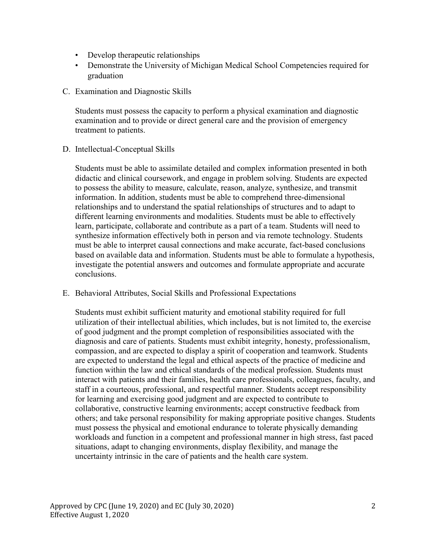- Develop therapeutic relationships
- Demonstrate the University of Michigan Medical School Competencies required for graduation
- C. Examination and Diagnostic Skills

Students must possess the capacity to perform a physical examination and diagnostic examination and to provide or direct general care and the provision of emergency treatment to patients.

D. Intellectual-Conceptual Skills

Students must be able to assimilate detailed and complex information presented in both didactic and clinical coursework, and engage in problem solving. Students are expected to possess the ability to measure, calculate, reason, analyze, synthesize, and transmit information. In addition, students must be able to comprehend three-dimensional relationships and to understand the spatial relationships of structures and to adapt to different learning environments and modalities. Students must be able to effectively learn, participate, collaborate and contribute as a part of a team. Students will need to synthesize information effectively both in person and via remote technology. Students must be able to interpret causal connections and make accurate, fact-based conclusions based on available data and information. Students must be able to formulate a hypothesis, investigate the potential answers and outcomes and formulate appropriate and accurate conclusions.

E. Behavioral Attributes, Social Skills and Professional Expectations

Students must exhibit sufficient maturity and emotional stability required for full utilization of their intellectual abilities, which includes, but is not limited to, the exercise of good judgment and the prompt completion of responsibilities associated with the diagnosis and care of patients. Students must exhibit integrity, honesty, professionalism, compassion, and are expected to display a spirit of cooperation and teamwork. Students are expected to understand the legal and ethical aspects of the practice of medicine and function within the law and ethical standards of the medical profession. Students must interact with patients and their families, health care professionals, colleagues, faculty, and staff in a courteous, professional, and respectful manner. Students accept responsibility for learning and exercising good judgment and are expected to contribute to collaborative, constructive learning environments; accept constructive feedback from others; and take personal responsibility for making appropriate positive changes. Students must possess the physical and emotional endurance to tolerate physically demanding workloads and function in a competent and professional manner in high stress, fast paced situations, adapt to changing environments, display flexibility, and manage the uncertainty intrinsic in the care of patients and the health care system.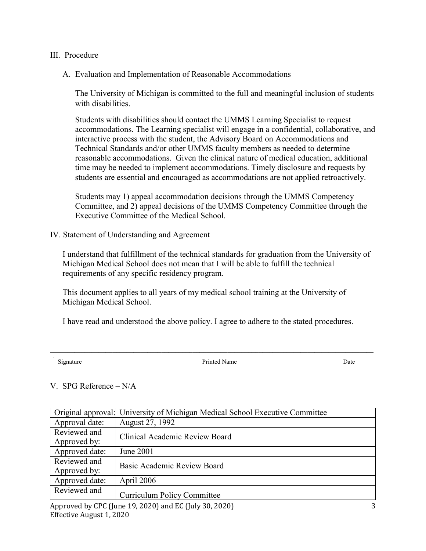- III. Procedure
	- A. Evaluation and Implementation of Reasonable Accommodations

The University of Michigan is committed to the full and meaningful inclusion of students with disabilities.

Students with disabilities should contact the UMMS Learning Specialist to request accommodations. The Learning specialist will engage in a confidential, collaborative, and interactive process with the student, the Advisory Board on Accommodations and Technical Standards and/or other UMMS faculty members as needed to determine reasonable accommodations. Given the clinical nature of medical education, additional time may be needed to implement accommodations. Timely disclosure and requests by students are essential and encouraged as accommodations are not applied retroactively.

Students may 1) appeal accommodation decisions through the UMMS Competency Committee, and 2) appeal decisions of the UMMS Competency Committee through the Executive Committee of the Medical School.

IV. Statement of Understanding and Agreement

I understand that fulfillment of the technical standards for graduation from the University of Michigan Medical School does not mean that I will be able to fulfill the technical requirements of any specific residency program.

This document applies to all years of my medical school training at the University of Michigan Medical School.

I have read and understood the above policy. I agree to adhere to the stated procedures.

 $\mathcal{L}_\mathcal{L} = \{ \mathcal{L}_\mathcal{L} = \{ \mathcal{L}_\mathcal{L} = \{ \mathcal{L}_\mathcal{L} = \{ \mathcal{L}_\mathcal{L} = \{ \mathcal{L}_\mathcal{L} = \{ \mathcal{L}_\mathcal{L} = \{ \mathcal{L}_\mathcal{L} = \{ \mathcal{L}_\mathcal{L} = \{ \mathcal{L}_\mathcal{L} = \{ \mathcal{L}_\mathcal{L} = \{ \mathcal{L}_\mathcal{L} = \{ \mathcal{L}_\mathcal{L} = \{ \mathcal{L}_\mathcal{L} = \{ \mathcal{L}_\mathcal{$ 

Signature Date Date Printed Name Printed Name Date

# V. SPG Reference – N/A

|                                                                                                                                                                                                                                                                                                                                                                                                                          | Original approval: University of Michigan Medical School Executive Committee |  |
|--------------------------------------------------------------------------------------------------------------------------------------------------------------------------------------------------------------------------------------------------------------------------------------------------------------------------------------------------------------------------------------------------------------------------|------------------------------------------------------------------------------|--|
| Approval date:                                                                                                                                                                                                                                                                                                                                                                                                           | August 27, 1992                                                              |  |
| Reviewed and<br>Approved by:                                                                                                                                                                                                                                                                                                                                                                                             | Clinical Academic Review Board                                               |  |
| Approved date:                                                                                                                                                                                                                                                                                                                                                                                                           | June 2001                                                                    |  |
| Reviewed and<br>Approved by:                                                                                                                                                                                                                                                                                                                                                                                             | Basic Academic Review Board                                                  |  |
| Approved date:                                                                                                                                                                                                                                                                                                                                                                                                           | April 2006                                                                   |  |
| Reviewed and                                                                                                                                                                                                                                                                                                                                                                                                             | <b>Curriculum Policy Committee</b>                                           |  |
| $\overline{A}$ $\overline{A}$ $\overline{A}$ $\overline{A}$ $\overline{A}$ $\overline{A}$ $\overline{A}$ $\overline{A}$ $\overline{A}$ $\overline{A}$ $\overline{A}$ $\overline{A}$ $\overline{A}$ $\overline{A}$ $\overline{A}$ $\overline{A}$ $\overline{A}$ $\overline{A}$ $\overline{A}$ $\overline{A}$ $\overline{A}$ $\overline{A}$ $\overline{A}$ $\overline{A}$ $\overline{$<br>$\mathbf{1}$<br>$\sum_{i=1}^{n}$ |                                                                              |  |

Approved by CPC (June 19, 2020) and EC (July 30, 2020) Effective August 1, 2020